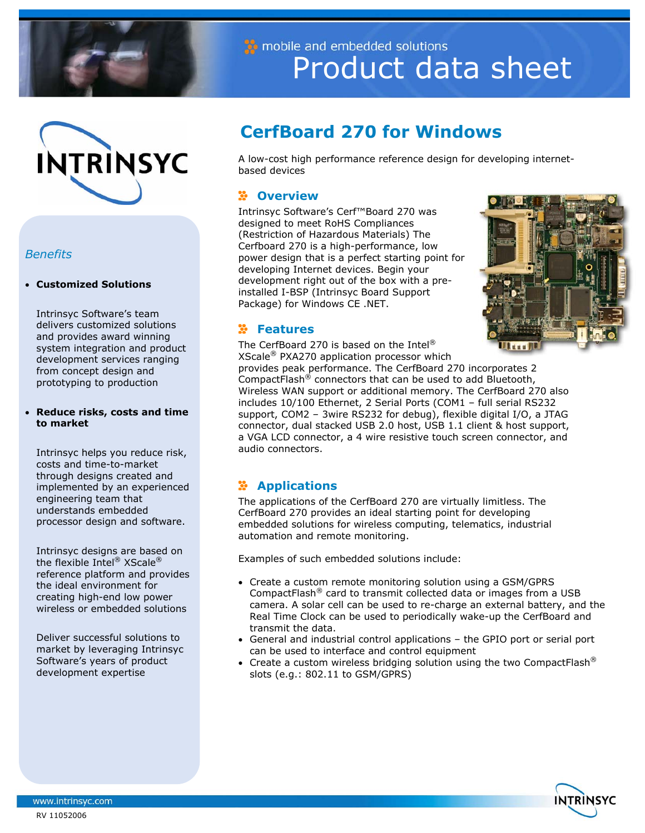



## *Benefits*

#### • **Customized Solutions**

Intrinsyc Software's team delivers customized solutions and provides award winning system integration and product development services ranging from concept design and prototyping to production

#### • **Reduce risks, costs and time to market**

Intrinsyc helps you reduce risk, costs and time-to-market through designs created and implemented by an experienced engineering team that understands embedded processor design and software.

Intrinsyc designs are based on the flexible Intel® XScale® reference platform and provides the ideal environment for creating high-end low power wireless or embedded solutions

Deliver successful solutions to market by leveraging Intrinsyc Software's years of product development expertise

# mobile and embedded solutions Product data sheet

## **CerfBoard 270 for Windows**

A low-cost high performance reference design for developing internetbased devices

## **Overview**

Intrinsyc Software's Cerf™Board 270 was designed to meet RoHS Compliances (Restriction of Hazardous Materials) The Cerfboard 270 is a high-performance, low power design that is a perfect starting point for developing Internet devices. Begin your development right out of the box with a preinstalled I-BSP (Intrinsyc Board Support Package) for Windows CE .NET.



## **Features**

The CerfBoard 270 is based on the Intel<sup>®</sup> XScale® PXA270 application processor which

provides peak performance. The CerfBoard 270 incorporates 2 CompactFlash® connectors that can be used to add Bluetooth, Wireless WAN support or additional memory. The CerfBoard 270 also includes 10/100 Ethernet, 2 Serial Ports (COM1 – full serial RS232 support, COM2 – 3wire RS232 for debug), flexible digital I/O, a JTAG connector, dual stacked USB 2.0 host, USB 1.1 client & host support, a VGA LCD connector, a 4 wire resistive touch screen connector, and audio connectors.

## **Applications**

The applications of the CerfBoard 270 are virtually limitless. The CerfBoard 270 provides an ideal starting point for developing embedded solutions for wireless computing, telematics, industrial automation and remote monitoring.

Examples of such embedded solutions include:

- Create a custom remote monitoring solution using a GSM/GPRS CompactFlash® card to transmit collected data or images from a USB camera. A solar cell can be used to re-charge an external battery, and the Real Time Clock can be used to periodically wake-up the CerfBoard and transmit the data.
- General and industrial control applications the GPIO port or serial port can be used to interface and control equipment
- Create a custom wireless bridging solution using the two CompactFlash<sup>®</sup> slots (e.g.: 802.11 to GSM/GPRS)